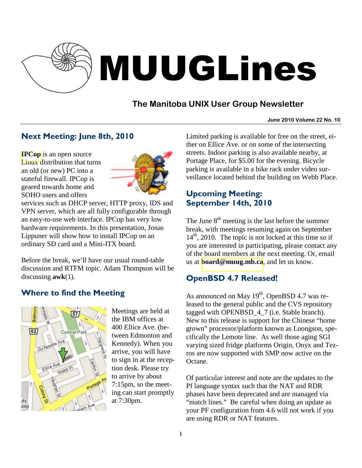

# MUUGLines

# **The Manitoba UNIX User Group Newsletter**

#### **June 2010 Volume 22 No. 10**

# Next Meeting: June 8th, 2010

**[IPCop](http://www.ipcop.org/)** is an open source Linux distribution that turns an old (or new) PC into a stateful firewall. IPCop is geared towards home and SOHO users and offers



services such as DHCP server, HTTP proxy, IDS and VPN server, which are all fully configurable through an easy-to-use web interface. IPCop has very low hardware requirements. In this presentation, Jonas Lippuner will show how to install IPCop on an ordinary SD card and a Mini-ITX board.

Before the break, we'll have our usual round-table discussion and RTFM topic. Adam Thompson will be discussing **awk**(1).

# Where to find the Meeting



Meetings are held at the IBM offices at 400 Ellice Ave. (between Edmonton and Kennedy). When you arrive, you will have to sign in at the reception desk. Please try to arrive by about 7:15pm, so the meeting can start promptly at 7:30pm.

Limited parking is available for free on the street, either on Ellice Ave. or on some of the intersecting streets. Indoor parking is also available nearby, at Portage Place, for \$5.00 for the evening. Bicycle parking is available in a bike rack under video surveillance located behind the building on Webb Place.

## Upcoming Meeting: September 14th, 2010

The June  $8<sup>th</sup>$  meeting is the last before the summer break, with meetings resuming again on September  $14<sup>th</sup>$ , 2010. The topic is not locked at this time so if you are interested in participating, please contact any of the board members at the next meeting. Or, email us at **[board@muug.mb.ca](mailto:board@muug.mb.ca)**, and let us know.

# OpenBSD 4.7 Released!

As announced on May  $19<sup>th</sup>$ , OpenBSD 4.7 was released to the general public and the CVS repository tagged with OPENBSD\_4\_7 (i.e. Stable branch). New to this release is support for the Chinese "home grown" processor/platform known as Loongson, specifically the Lemote line. As well those aging SGI varying sized fridge platforms Origin, Onyx and Tezros are now supported with SMP now active on the Octane.

Of particular interest and note are the updates to the Pf language syntax such that the NAT and RDR phases have been deprecated and are managed via "match lines." Be careful when doing an update as your PF configuration from 4.6 will not work if you are using RDR or NAT features.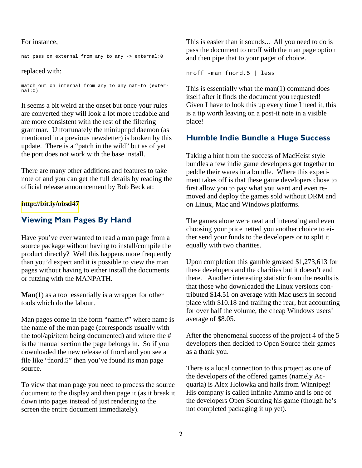#### For instance,

nat pass on external from any to any -> external:0

#### replaced with:

match out on internal from any to any nat-to (external:0)

It seems a bit weird at the onset but once your rules are converted they will look a lot more readable and are more consistent with the rest of the filtering grammar. Unfortunately the miniupnpd daemon (as mentioned in a previous newsletter) is broken by this update. There is a "patch in the wild" but as of yet the port does not work with the base install.

There are many other additions and features to take note of and you can get the full details by reading the official release announcement by Bob Beck at:

#### **<http://bit.ly/obsd47>**

## Viewing Man Pages By Hand

Have you've ever wanted to read a man page from a source package without having to install/compile the product directly? Well this happens more frequently than you'd expect and it is possible to view the man pages without having to either install the documents or futzing with the MANPATH.

**Man**(1) as a tool essentially is a wrapper for other tools which do the labour.

Man pages come in the form "name.#" where name is the name of the man page (corresponds usually with the tool/api/item being documented) and where the # is the manual section the page belongs in. So if you downloaded the new release of fnord and you see a file like "fnord.5" then you've found its man page source.

To view that man page you need to process the source document to the display and then page it (as it break it down into pages instead of just rendering to the screen the entire document immediately).

This is easier than it sounds... All you need to do is pass the document to nroff with the man page option and then pipe that to your pager of choice.

nroff -man fnord.5 | less

This is essentially what the man(1) command does itself after it finds the document you requested! Given I have to look this up every time I need it, this is a tip worth leaving on a post-it note in a visible place!

## Humble Indie Bundle a Huge Success

Taking a hint from the success of MacHeist style bundles a few indie game developers got together to peddle their wares in a bundle. Where this experiment takes off is that these game developers chose to first allow you to pay what you want and even removed and deploy the games sold without DRM and on Linux, Mac and Windows platforms.

The games alone were neat and interesting and even choosing your price netted you another choice to either send your funds to the developers or to split it equally with two charities.

Upon completion this gamble grossed \$1,273,613 for these developers and the charities but it doesn't end there. Another interesting statistic from the results is that those who downloaded the Linux versions contributed \$14.51 on average with Mac users in second place with \$10.18 and trailing the rear, but accounting for over half the volume, the cheap Windows users' average of \$8.05.

After the phenomenal success of the project 4 of the 5 developers then decided to Open Source their games as a thank you.

There is a local connection to this project as one of the developers of the offered games (namely Acquaria) is Alex Holowka and hails from Winnipeg! His company is called Infinite Ammo and is one of the developers Open Sourcing his game (though he's not completed packaging it up yet).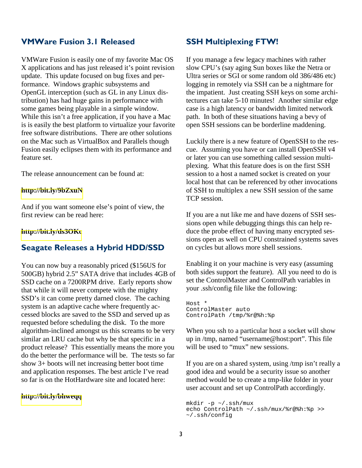## VMWare Fusion 3.1 Released

VMWare Fusion is easily one of my favorite Mac OS X applications and has just released it's point revision update. This update focused on bug fixes and performance. Windows graphic subsystems and OpenGL interception (such as GL in any Linux distribution) has had huge gains in performance with some games being playable in a simple window. While this isn't a free application, if you have a Mac is is easily the best platform to virtualize your favorite free software distributions. There are other solutions on the Mac such as VirtualBox and Parallels though Fusion easily eclipses them with its performance and feature set.

The release announcement can be found at:

#### **<http://bit.ly/9bZxuN>**

And if you want someone else's point of view, the first review can be read here:

#### **<http://bit.ly/ds3OKc>**

## Seagate Releases a Hybrid HDD/SSD

You can now buy a reasonably priced (\$156US for 500GB) hybrid 2.5" SATA drive that includes 4GB of SSD cache on a 7200RPM drive. Early reports show that while it will never compete with the mighty SSD's it can come pretty darned close. The caching system is an adaptive cache where frequently accessed blocks are saved to the SSD and served up as requested before scheduling the disk. To the more algorithm-inclined amongst us this screams to be very similar an LRU cache but why be that specific in a product release? This essentially means the more you do the better the performance will be. The tests so far show 3+ boots will net increasing better boot time and application responses. The best article I've read so far is on the HotHardware site and located here:

#### **<http://bit.ly/bhweqq>**

### SSH Multiplexing FTW!

If you manage a few legacy machines with rather slow CPU's (say aging Sun boxes like the Netra or Ultra series or SGI or some random old 386/486 etc) logging in remotely via SSH can be a nightmare for the impatient. Just creating SSH keys on some architectures can take 5-10 minutes! Another similar edge case is a high latency or bandwidth limited network path. In both of these situations having a bevy of open SSH sessions can be borderline maddening.

Luckily there is a new feature of OpenSSH to the rescue. Assuming you have or can install OpenSSH v4 or later you can use something called session multiplexing. What this feature does is on the first SSH session to a host a named socket is created on your local host that can be referenced by other invocations of SSH to multiplex a new SSH session of the same TCP session.

If you are a nut like me and have dozens of SSH sessions open while debugging things this can help reduce the probe effect of having many encrypted sessions open as well on CPU constrained systems saves on cycles but allows more shell sessions.

Enabling it on your machine is very easy (assuming both sides support the feature). All you need to do is set the ControlMaster and ControlPath variables in your .ssh/config file like the following:

Host \* ControlMaster auto ControlPath /tmp/%r@%h:%p

When you ssh to a particular host a socket will show up in /tmp, named "username@host:port". This file will be used to "mux" new sessions.

If you are on a shared system, using /tmp isn't really a good idea and would be a security issue so another method would be to create a tmp-like folder in your user account and set up ControlPath accordingly.

mkdir -p ~/.ssh/mux echo ControlPath ~/.ssh/mux/%r@%h:%p >> ~/.ssh/config